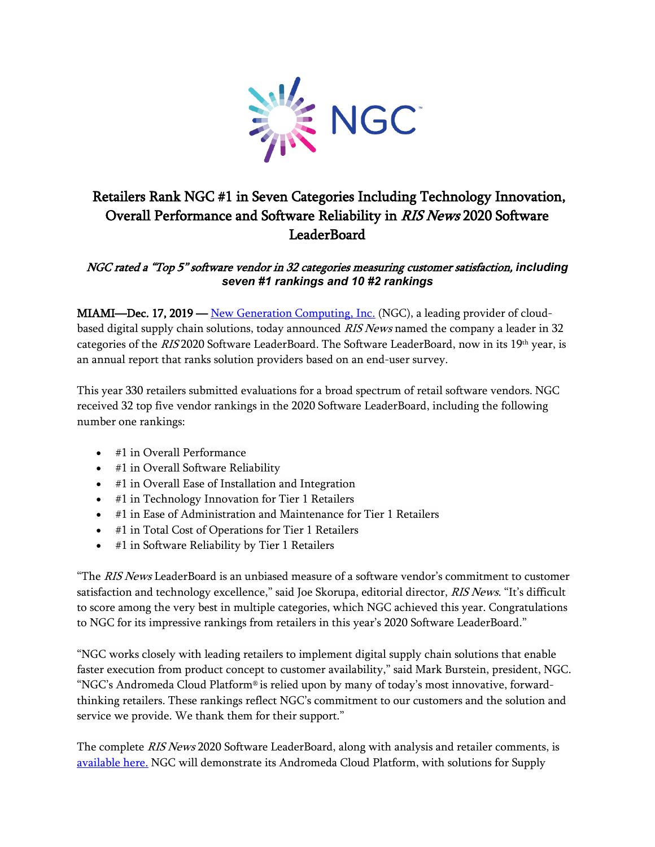

## Retailers Rank NGC #1 in Seven Categories Including Technology Innovation, Overall Performance and Software Reliability in RIS News 2020 Software LeaderBoard

## NGC rated a "Top 5" software vendor in 32 categories measuring customer satisfaction, *including seven #1 rankings and 10 #2 rankings*

MIAMI—Dec. 17, 2019 — [New Generation Computing, Inc.](https://www.ngcsoftware.com/) (NGC), a leading provider of cloudbased digital supply chain solutions, today announced RIS News named the company a leader in 32 categories of the RIS 2020 Software LeaderBoard. The Software LeaderBoard, now in its 19th year, is an annual report that ranks solution providers based on an end-user survey.

This year 330 retailers submitted evaluations for a broad spectrum of retail software vendors. NGC received 32 top five vendor rankings in the 2020 Software LeaderBoard, including the following number one rankings:

- #1 in Overall Performance
- #1 in Overall Software Reliability
- #1 in Overall Ease of Installation and Integration
- #1 in Technology Innovation for Tier 1 Retailers
- #1 in Ease of Administration and Maintenance for Tier 1 Retailers
- #1 in Total Cost of Operations for Tier 1 Retailers
- #1 in Software Reliability by Tier 1 Retailers

"The RIS News LeaderBoard is an unbiased measure of a software vendor's commitment to customer satisfaction and technology excellence," said Joe Skorupa, editorial director, RIS News. "It's difficult to score among the very best in multiple categories, which NGC achieved this year. Congratulations to NGC for its impressive rankings from retailers in this year's 2020 Software LeaderBoard."

"NGC works closely with leading retailers to implement digital supply chain solutions that enable faster execution from product concept to customer availability," said Mark Burstein, president, NGC. "NGC's Andromeda Cloud Platform® is relied upon by many of today's most innovative, forwardthinking retailers. These rankings reflect NGC's commitment to our customers and the solution and service we provide. We thank them for their support."

The complete RIS News 2020 Software LeaderBoard, along with analysis and retailer comments, is [available here.](https://risnews.com/leaderboard20) NGC will demonstrate its Andromeda Cloud Platform, with solutions for Supply